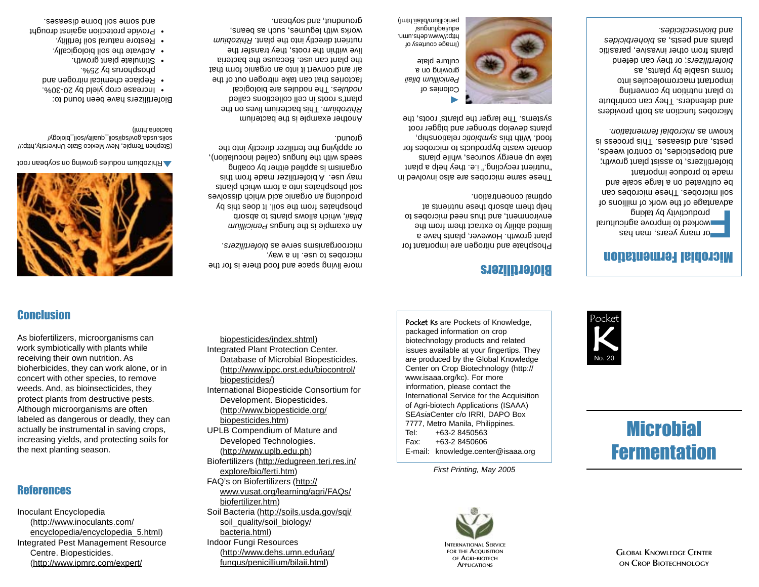Inoculant Encyclopedia (http://www.inoculants.com/ encyclopedia/encyclopedia\_5.html) Integrated Pest Management Resource Centre. Biopesticides. (http://www.ipmrc.com/expert/

### **References**

receiving their own nutrition. As bioherbicides, they can work alone, or in concert with other species, to remove weeds. And, as bioinsecticides, they protect plants from destructive pests. Although microorganisms are often labeled as dangerous or deadly, they can actually be instrumental in saving crops, increasing yields, and protecting soils for the next planting season.

As biofertilizers, microorganisms can work symbiotically with plants while

### **Conclusion**

(http://www.biopesticide.org/ biopesticides.htm) UPLB Compendium of Mature and Developed Technologies. (http://www.uplb.edu.ph) Biofertilizers (http://edugreen.teri.res.in/ explore/bio/ferti.htm) FAQ's on Biofertilizers (http:// www.vusat.org/learning/agri/FAQs/ biofertilizer.htm) Soil Bacteria (http://soils.usda.gov/sqi/ soil\_quality/soil\_biology/ bacteria.html) Indoor Fungi Resources (http://www.dehs.umn.edu/iaq/ fungus/penicillium/bilaii.html)

biopesticides/index.shtml) Integrated Plant Protection Center.

biopesticides/)

Database of Microbial Biopesticides. (http://www.ippc.orst.edu/biocontrol/

strueld dollar and a form which plants may use. A biofertilizer made from this organism is applied either by coating seeds with the fungus (called inoculation), or applying the fertilizer directly into the

Another example is the bacterium . This bacterium lives on the *Rhizobium* plant's roots in cell collections called . The nodules are biological *nodules* factories that can take nitrogen out of the air and convert it into an organic form that the plant can use. Because the bacteria live within the roots, they transfer the *Rhizobium* airectly into the plant. Rhizobium works with legumes, such as beans,

groundnut, and soybean.

microbes to use. In a way,

ground.

International Biopesticide Consortium for Development. Biopesticides.

Pocket Ks are Pockets of Knowledge. packaged information on crop biotechnology products and related issues available at your fingertips. They are produced by the Global Knowledge Center on Crop Biotechnology (http:// www.isaaa.org/kc). For more information, please contact the International Service for the Acquisition of Agri-biotech Applications (ISAAA) SE*Asia*Center c/o IRRI, DAPO Box 7777, Metro Manila, Philippines. Tel: +63-2 8450563 Fax: +63-2 8450606 E-mail: knowledge.center@isaaa.org

> **INTERNATIONAL SERVICE FOR THE ACQUISITION OF AGRI-BIOTECH APPLICATIONS**

*First Printing, May 2005*

### Biofertilizers

Phosphate and nitrogen are important for plant growth. However, plants have a limited ability to extract them the environment, and thus need microbes to help them absorb these nutrients at optimal concentration.

These same microbes are also involved in "nutrient recycling," i.e. they help a plant donate waste byproducts to microbes for

 $\blacktriangleright$ Colonies of *Penicillium bilaii* growing on a culture plate

.nmu.adeb.www/\.qthd penicillium/bilaii.html)

> soil microbes. These microbes can be cultivated on a large scale and made to produce important biofertilizers, to assist plant growth; and biopesticides, to control weeds, pests, and diseases. This process is known as microbial fermentation.

take up energy sources, while plants rood. With this symbiotic relationship, plants develop stronger and bigger root systems. The larger the plants' roots, the

(Image courtesy of /sn6un<sub>1</sub>/bei/npa

and defenders. They can contribute to blant nutrition by converting important macromolecules into forms usable by plants, as ; or they can defend *biofertilizers* plants from other invasive, parasitic biants and beziz<sup>'</sup> as pionendes *bioinsecticides.* and

# $\mathsf{K}% _{0}$ Pocket No. 20

**Microbial Fermentation** 

Microbial Fermentation

advantage of the work of millions of

Microbes function as both providers

**For many years, many year of the manus of the manus of the manner of the manner of the manner by taking by tak**<br>**Learn** by taking a state of the state of the state parameter of the state of the state of the state of the s





**A** Rhizobium nodules growing on soybean root

(Stephen Temple, New Mexico State University, New soils.usda.gov/soil\_quality/soil\_biology/ bacteria.html)

Biofertilizers have been found to: • Increase crop yield by 20-30%.

- Replace chemical nitrogen and
- phosphorus by 25%.
- Stimulate plant growth.
- **WOULD HATE THE SOIL DIOLOGICALLY**
- 
- Restore natural soil fertility.
- Provide protection against drought and some soil borne diseases.



**GLOBAL KNOWLEDGE CENTER ON CROP BIOTECHNOLOGY**